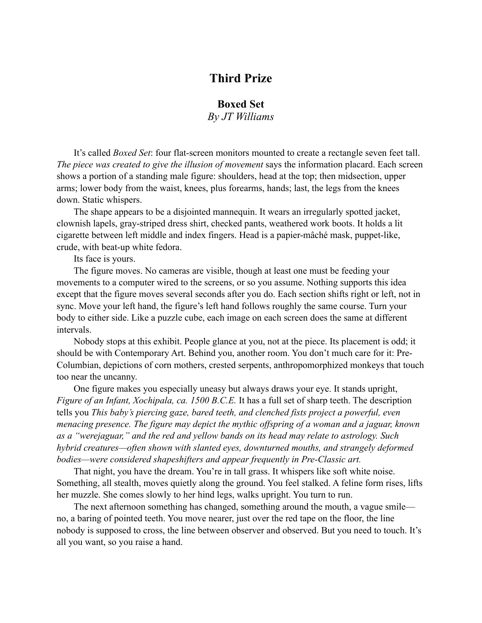## **Third Prize**

## **Boxed Set**

*By JT Williams*

It's called *Boxed Set*: four flat-screen monitors mounted to create a rectangle seven feet tall. *The piece was created to give the illusion of movement* says the information placard. Each screen shows a portion of a standing male figure: shoulders, head at the top; then midsection, upper arms; lower body from the waist, knees, plus forearms, hands; last, the legs from the knees down. Static whispers.

The shape appears to be a disjointed mannequin. It wears an irregularly spotted jacket, clownish lapels, gray-striped dress shirt, checked pants, weathered work boots. It holds a lit cigarette between left middle and index fingers. Head is a papier-mâché mask, puppet-like, crude, with beat-up white fedora.

Its face is yours.

The figure moves. No cameras are visible, though at least one must be feeding your movements to a computer wired to the screens, or so you assume. Nothing supports this idea except that the figure moves several seconds after you do. Each section shifts right or left, not in sync. Move your left hand, the figure's left hand follows roughly the same course. Turn your body to either side. Like a puzzle cube, each image on each screen does the same at different intervals.

Nobody stops at this exhibit. People glance at you, not at the piece. Its placement is odd; it should be with Contemporary Art. Behind you, another room. You don't much care for it: Pre-Columbian, depictions of corn mothers, crested serpents, anthropomorphized monkeys that touch too near the uncanny.

One figure makes you especially uneasy but always draws your eye. It stands upright, *Figure of an Infant, Xochipala, ca. 1500 B.C.E.* It has a full set of sharp teeth. The description tells you *This baby's piercing gaze, bared teeth, and clenched fists project a powerful, even menacing presence. The figure may depict the mythic offspring of a woman and a jaguar, known as a "werejaguar," and the red and yellow bands on its head may relate to astrology. Such hybrid creatures—often shown with slanted eyes, downturned mouths, and strangely deformed bodies—were considered shapeshifters and appear frequently in Pre-Classic art.*

That night, you have the dream. You're in tall grass. It whispers like soft white noise. Something, all stealth, moves quietly along the ground. You feel stalked. A feline form rises, lifts her muzzle. She comes slowly to her hind legs, walks upright. You turn to run.

The next afternoon something has changed, something around the mouth, a vague smile no, a baring of pointed teeth. You move nearer, just over the red tape on the floor, the line nobody is supposed to cross, the line between observer and observed. But you need to touch. It's all you want, so you raise a hand.